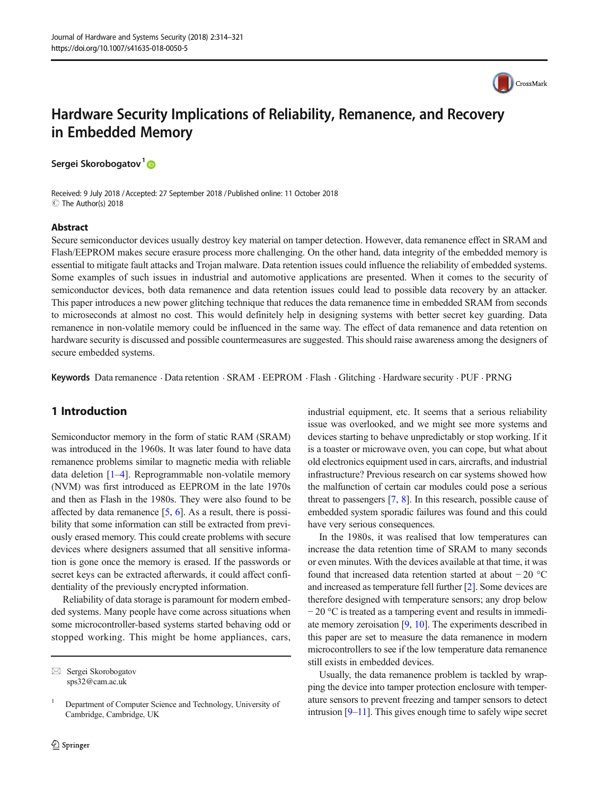

# Hardware Security Implications of Reliability, Remanence, and Recovery in Embedded Memory

Sergei Skorobogatov<sup>1</sup>

Received: 9 July 2018 /Accepted: 27 September 2018 /Published online: 11 October 2018 C The Author(s) 2018

#### Abstract

Secure semiconductor devices usually destroy key material on tamper detection. However, data remanence effect in SRAM and Flash/EEPROM makes secure erasure process more challenging. On the other hand, data integrity of the embedded memory is essential to mitigate fault attacks and Trojan malware. Data retention issues could influence the reliability of embedded systems. Some examples of such issues in industrial and automotive applications are presented. When it comes to the security of semiconductor devices, both data remanence and data retention issues could lead to possible data recovery by an attacker. This paper introduces a new power glitching technique that reduces the data remanence time in embedded SRAM from seconds to microseconds at almost no cost. This would definitely help in designing systems with better secret key guarding. Data remanence in non-volatile memory could be influenced in the same way. The effect of data remanence and data retention on hardware security is discussed and possible countermeasures are suggested. This should raise awareness among the designers of secure embedded systems.

Keywords Data remanence · Data retention · SRAM · EEPROM · Flash · Glitching · Hardware security · PUF · PRNG

# 1 Introduction

Semiconductor memory in the form of static RAM (SRAM) was introduced in the 1960s. It was later found to have data remanence problems similar to magnetic media with reliable data deletion [\[1](#page-7-0)–[4](#page-7-0)]. Reprogrammable non-volatile memory (NVM) was first introduced as EEPROM in the late 1970s and then as Flash in the 1980s. They were also found to be affected by data remanence [\[5,](#page-7-0) [6](#page-7-0)]. As a result, there is possibility that some information can still be extracted from previously erased memory. This could create problems with secure devices where designers assumed that all sensitive information is gone once the memory is erased. If the passwords or secret keys can be extracted afterwards, it could affect confidentiality of the previously encrypted information.

Reliability of data storage is paramount for modern embedded systems. Many people have come across situations when some microcontroller-based systems started behaving odd or stopped working. This might be home appliances, cars, industrial equipment, etc. It seems that a serious reliability issue was overlooked, and we might see more systems and devices starting to behave unpredictably or stop working. If it is a toaster or microwave oven, you can cope, but what about old electronics equipment used in cars, aircrafts, and industrial infrastructure? Previous research on car systems showed how the malfunction of certain car modules could pose a serious threat to passengers [\[7,](#page-7-0) [8](#page-7-0)]. In this research, possible cause of embedded system sporadic failures was found and this could have very serious consequences.

In the 1980s, it was realised that low temperatures can increase the data retention time of SRAM to many seconds or even minutes. With the devices available at that time, it was found that increased data retention started at about − 20 °C and increased as temperature fell further [[2\]](#page-7-0). Some devices are therefore designed with temperature sensors; any drop below − 20 °C is treated as a tampering event and results in immediate memory zeroisation [\[9](#page-7-0), [10\]](#page-7-0). The experiments described in this paper are set to measure the data remanence in modern microcontrollers to see if the low temperature data remanence still exists in embedded devices.

Usually, the data remanence problem is tackled by wrapping the device into tamper protection enclosure with temperature sensors to prevent freezing and tamper sensors to detect intrusion [[9](#page-7-0)–[11](#page-7-0)]. This gives enough time to safely wipe secret

 $\boxtimes$  Sergei Skorobogatov [sps32@cam.ac.uk](mailto:sps32@cam.ac.uk)

<sup>&</sup>lt;sup>1</sup> Department of Computer Science and Technology, University of Cambridge, Cambridge, UK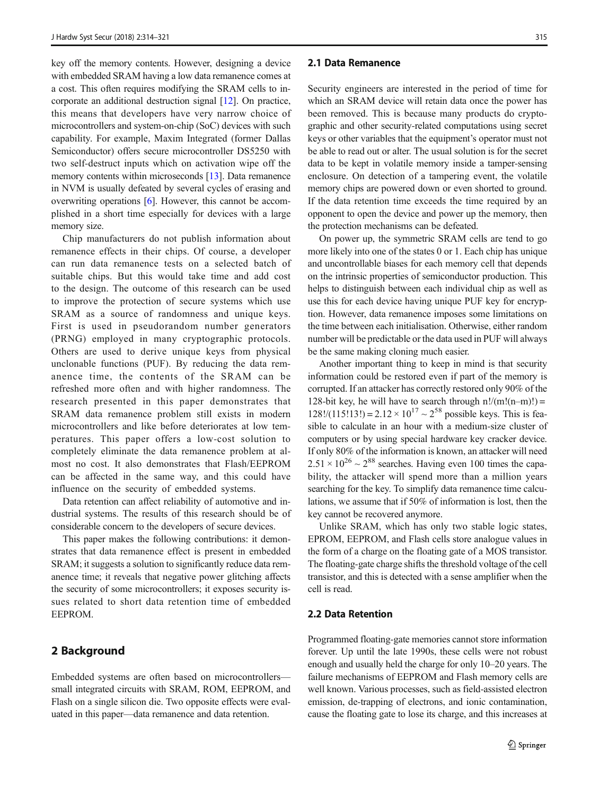key off the memory contents. However, designing a device with embedded SRAM having a low data remanence comes at a cost. This often requires modifying the SRAM cells to incorporate an additional destruction signal [[12\]](#page-7-0). On practice, this means that developers have very narrow choice of microcontrollers and system-on-chip (SoC) devices with such capability. For example, Maxim Integrated (former Dallas Semiconductor) offers secure microcontroller DS5250 with two self-destruct inputs which on activation wipe off the memory contents within microseconds [\[13\]](#page-7-0). Data remanence in NVM is usually defeated by several cycles of erasing and overwriting operations [\[6](#page-7-0)]. However, this cannot be accomplished in a short time especially for devices with a large memory size.

Chip manufacturers do not publish information about remanence effects in their chips. Of course, a developer can run data remanence tests on a selected batch of suitable chips. But this would take time and add cost to the design. The outcome of this research can be used to improve the protection of secure systems which use SRAM as a source of randomness and unique keys. First is used in pseudorandom number generators (PRNG) employed in many cryptographic protocols. Others are used to derive unique keys from physical unclonable functions (PUF). By reducing the data remanence time, the contents of the SRAM can be refreshed more often and with higher randomness. The research presented in this paper demonstrates that SRAM data remanence problem still exists in modern microcontrollers and like before deteriorates at low temperatures. This paper offers a low-cost solution to completely eliminate the data remanence problem at almost no cost. It also demonstrates that Flash/EEPROM can be affected in the same way, and this could have influence on the security of embedded systems.

Data retention can affect reliability of automotive and industrial systems. The results of this research should be of considerable concern to the developers of secure devices.

This paper makes the following contributions: it demonstrates that data remanence effect is present in embedded SRAM; it suggests a solution to significantly reduce data remanence time; it reveals that negative power glitching affects the security of some microcontrollers; it exposes security issues related to short data retention time of embedded EEPROM.

## 2 Background

Embedded systems are often based on microcontrollers small integrated circuits with SRAM, ROM, EEPROM, and Flash on a single silicon die. Two opposite effects were evaluated in this paper—data remanence and data retention.

#### 2.1 Data Remanence

Security engineers are interested in the period of time for which an SRAM device will retain data once the power has been removed. This is because many products do cryptographic and other security-related computations using secret keys or other variables that the equipment's operator must not be able to read out or alter. The usual solution is for the secret data to be kept in volatile memory inside a tamper-sensing enclosure. On detection of a tampering event, the volatile memory chips are powered down or even shorted to ground. If the data retention time exceeds the time required by an opponent to open the device and power up the memory, then the protection mechanisms can be defeated.

On power up, the symmetric SRAM cells are tend to go more likely into one of the states 0 or 1. Each chip has unique and uncontrollable biases for each memory cell that depends on the intrinsic properties of semiconductor production. This helps to distinguish between each individual chip as well as use this for each device having unique PUF key for encryption. However, data remanence imposes some limitations on the time between each initialisation. Otherwise, either random number will be predictable or the data used in PUF will always be the same making cloning much easier.

Another important thing to keep in mind is that security information could be restored even if part of the memory is corrupted. If an attacker has correctly restored only 90% of the 128-bit key, he will have to search through  $n!/(m!(n-m)!)=$  $128!/(115!13!) = 2.12 \times 10^{17} \sim 2^{58}$  possible keys. This is feasible to calculate in an hour with a medium-size cluster of computers or by using special hardware key cracker device. If only 80% of the information is known, an attacker will need  $2.51 \times 10^{26} \sim 2^{88}$  searches. Having even 100 times the capability, the attacker will spend more than a million years searching for the key. To simplify data remanence time calculations, we assume that if 50% of information is lost, then the key cannot be recovered anymore.

Unlike SRAM, which has only two stable logic states, EPROM, EEPROM, and Flash cells store analogue values in the form of a charge on the floating gate of a MOS transistor. The floating-gate charge shifts the threshold voltage of the cell transistor, and this is detected with a sense amplifier when the cell is read.

## 2.2 Data Retention

Programmed floating-gate memories cannot store information forever. Up until the late 1990s, these cells were not robust enough and usually held the charge for only 10–20 years. The failure mechanisms of EEPROM and Flash memory cells are well known. Various processes, such as field-assisted electron emission, de-trapping of electrons, and ionic contamination, cause the floating gate to lose its charge, and this increases at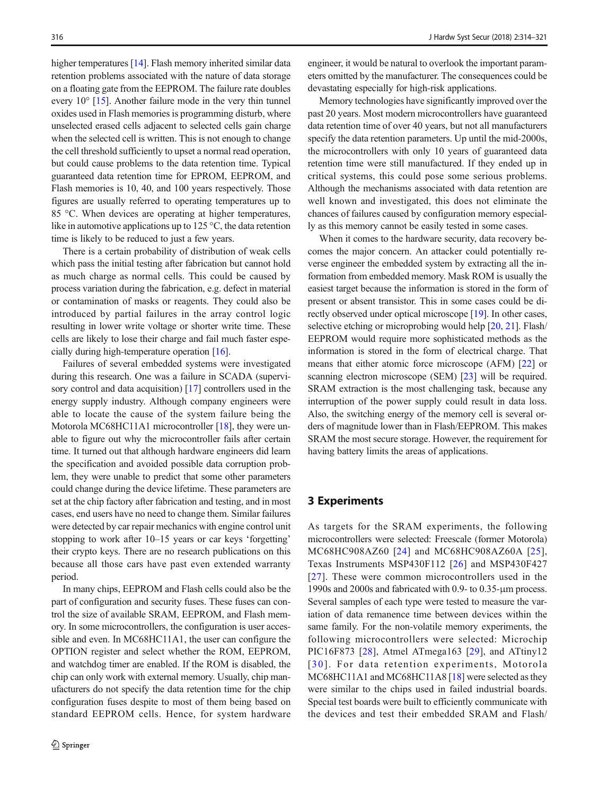higher temperatures [[14\]](#page-7-0). Flash memory inherited similar data retention problems associated with the nature of data storage on a floating gate from the EEPROM. The failure rate doubles every 10° [\[15](#page-7-0)]. Another failure mode in the very thin tunnel oxides used in Flash memories is programming disturb, where unselected erased cells adjacent to selected cells gain charge when the selected cell is written. This is not enough to change the cell threshold sufficiently to upset a normal read operation, but could cause problems to the data retention time. Typical guaranteed data retention time for EPROM, EEPROM, and Flash memories is 10, 40, and 100 years respectively. Those figures are usually referred to operating temperatures up to 85 °C. When devices are operating at higher temperatures, like in automotive applications up to 125 °C, the data retention time is likely to be reduced to just a few years.

There is a certain probability of distribution of weak cells which pass the initial testing after fabrication but cannot hold as much charge as normal cells. This could be caused by process variation during the fabrication, e.g. defect in material or contamination of masks or reagents. They could also be introduced by partial failures in the array control logic resulting in lower write voltage or shorter write time. These cells are likely to lose their charge and fail much faster especially during high-temperature operation [\[16\]](#page-7-0).

Failures of several embedded systems were investigated during this research. One was a failure in SCADA (supervi-sory control and data acquisition) [\[17\]](#page-7-0) controllers used in the energy supply industry. Although company engineers were able to locate the cause of the system failure being the Motorola MC68HC11A1 microcontroller [[18\]](#page-7-0), they were unable to figure out why the microcontroller fails after certain time. It turned out that although hardware engineers did learn the specification and avoided possible data corruption problem, they were unable to predict that some other parameters could change during the device lifetime. These parameters are set at the chip factory after fabrication and testing, and in most cases, end users have no need to change them. Similar failures were detected by car repair mechanics with engine control unit stopping to work after 10–15 years or car keys 'forgetting' their crypto keys. There are no research publications on this because all those cars have past even extended warranty period.

In many chips, EEPROM and Flash cells could also be the part of configuration and security fuses. These fuses can control the size of available SRAM, EEPROM, and Flash memory. In some microcontrollers, the configuration is user accessible and even. In MC68HC11A1, the user can configure the OPTION register and select whether the ROM, EEPROM, and watchdog timer are enabled. If the ROM is disabled, the chip can only work with external memory. Usually, chip manufacturers do not specify the data retention time for the chip configuration fuses despite to most of them being based on standard EEPROM cells. Hence, for system hardware

engineer, it would be natural to overlook the important parameters omitted by the manufacturer. The consequences could be devastating especially for high-risk applications.

Memory technologies have significantly improved over the past 20 years. Most modern microcontrollers have guaranteed data retention time of over 40 years, but not all manufacturers specify the data retention parameters. Up until the mid-2000s, the microcontrollers with only 10 years of guaranteed data retention time were still manufactured. If they ended up in critical systems, this could pose some serious problems. Although the mechanisms associated with data retention are well known and investigated, this does not eliminate the chances of failures caused by configuration memory especially as this memory cannot be easily tested in some cases.

When it comes to the hardware security, data recovery becomes the major concern. An attacker could potentially reverse engineer the embedded system by extracting all the information from embedded memory. Mask ROM is usually the easiest target because the information is stored in the form of present or absent transistor. This in some cases could be directly observed under optical microscope [\[19\]](#page-7-0). In other cases, selective etching or microprobing would help [\[20,](#page-7-0) [21\]](#page-7-0). Flash/ EEPROM would require more sophisticated methods as the information is stored in the form of electrical charge. That means that either atomic force microscope (AFM) [[22\]](#page-7-0) or scanning electron microscope (SEM) [\[23\]](#page-7-0) will be required. SRAM extraction is the most challenging task, because any interruption of the power supply could result in data loss. Also, the switching energy of the memory cell is several orders of magnitude lower than in Flash/EEPROM. This makes SRAM the most secure storage. However, the requirement for having battery limits the areas of applications.

#### 3 Experiments

As targets for the SRAM experiments, the following microcontrollers were selected: Freescale (former Motorola) MC68HC908AZ60 [[24](#page-7-0)] and MC68HC908AZ60A [[25](#page-7-0)], Texas Instruments MSP430F112 [[26](#page-7-0)] and MSP430F427 [[27](#page-7-0)]. These were common microcontrollers used in the 1990s and 2000s and fabricated with 0.9- to 0.35-μm process. Several samples of each type were tested to measure the variation of data remanence time between devices within the same family. For the non-volatile memory experiments, the following microcontrollers were selected: Microchip PIC16F873 [[28\]](#page-7-0), Atmel ATmega163 [[29](#page-7-0)], and ATtiny12 [30]. For data retention experiments, Motorola MC68HC11A1 and MC68HC11A8 [\[18](#page-7-0)] were selected as they were similar to the chips used in failed industrial boards. Special test boards were built to efficiently communicate with the devices and test their embedded SRAM and Flash/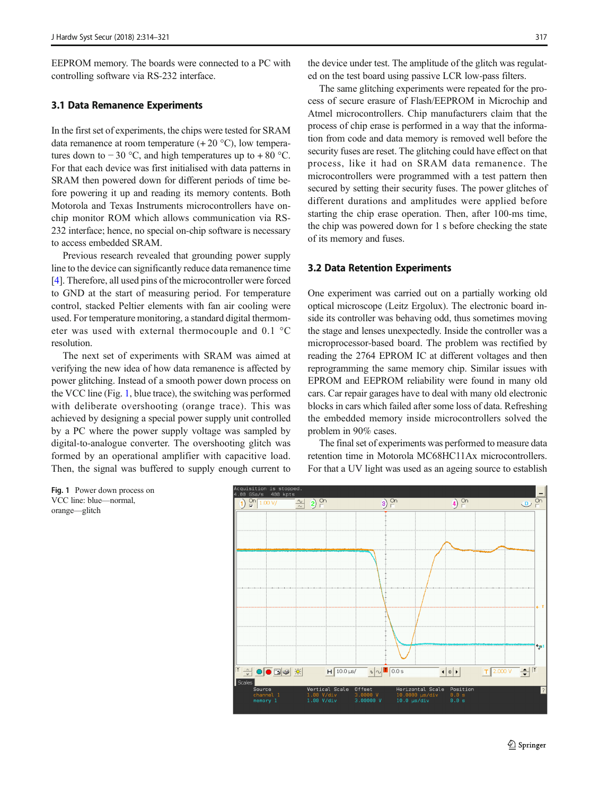<span id="page-3-0"></span>EEPROM memory. The boards were connected to a PC with controlling software via RS-232 interface.

#### 3.1 Data Remanence Experiments

In the first set of experiments, the chips were tested for SRAM data remanence at room temperature  $(+ 20 °C)$ , low temperatures down to  $-30$  °C, and high temperatures up to  $+80$  °C. For that each device was first initialised with data patterns in SRAM then powered down for different periods of time before powering it up and reading its memory contents. Both Motorola and Texas Instruments microcontrollers have onchip monitor ROM which allows communication via RS-232 interface; hence, no special on-chip software is necessary to access embedded SRAM.

Previous research revealed that grounding power supply line to the device can significantly reduce data remanence time [\[4](#page-7-0)]. Therefore, all used pins of the microcontroller were forced to GND at the start of measuring period. For temperature control, stacked Peltier elements with fan air cooling were used. For temperature monitoring, a standard digital thermometer was used with external thermocouple and 0.1 °C resolution.

The next set of experiments with SRAM was aimed at verifying the new idea of how data remanence is affected by power glitching. Instead of a smooth power down process on the VCC line (Fig. 1, blue trace), the switching was performed with deliberate overshooting (orange trace). This was achieved by designing a special power supply unit controlled by a PC where the power supply voltage was sampled by digital-to-analogue converter. The overshooting glitch was formed by an operational amplifier with capacitive load. Then, the signal was buffered to supply enough current to

the device under test. The amplitude of the glitch was regulated on the test board using passive LCR low-pass filters.

The same glitching experiments were repeated for the process of secure erasure of Flash/EEPROM in Microchip and Atmel microcontrollers. Chip manufacturers claim that the process of chip erase is performed in a way that the information from code and data memory is removed well before the security fuses are reset. The glitching could have effect on that process, like it had on SRAM data remanence. The microcontrollers were programmed with a test pattern then secured by setting their security fuses. The power glitches of different durations and amplitudes were applied before starting the chip erase operation. Then, after 100-ms time, the chip was powered down for 1 s before checking the state of its memory and fuses.

#### 3.2 Data Retention Experiments

One experiment was carried out on a partially working old optical microscope (Leitz Ergolux). The electronic board inside its controller was behaving odd, thus sometimes moving the stage and lenses unexpectedly. Inside the controller was a microprocessor-based board. The problem was rectified by reading the 2764 EPROM IC at different voltages and then reprogramming the same memory chip. Similar issues with EPROM and EEPROM reliability were found in many old cars. Car repair garages have to deal with many old electronic blocks in cars which failed after some loss of data. Refreshing the embedded memory inside microcontrollers solved the problem in 90% cases.

The final set of experiments was performed to measure data retention time in Motorola MC68HC11Ax microcontrollers. For that a UV light was used as an ageing source to establish

Fig. 1 Power down process on VCC line: blue—normal, orange—glitch

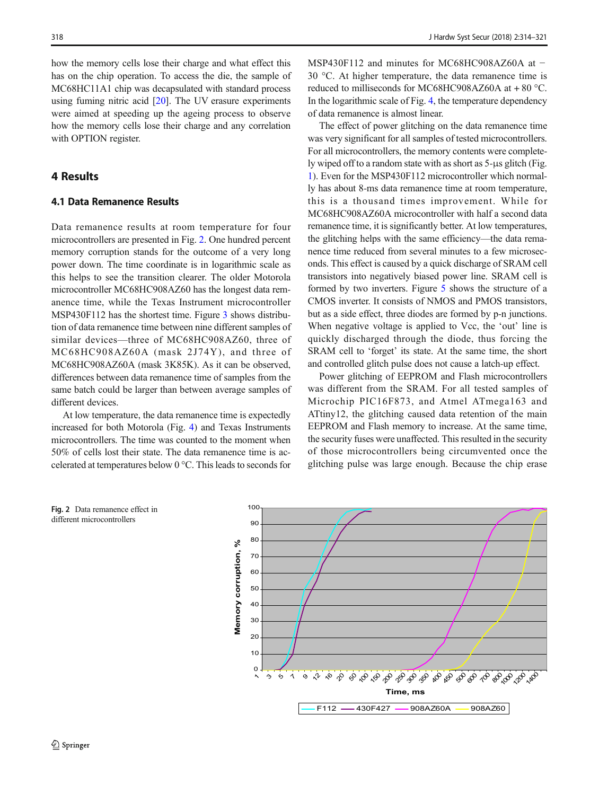how the memory cells lose their charge and what effect this has on the chip operation. To access the die, the sample of MC68HC11A1 chip was decapsulated with standard process using fuming nitric acid [[20\]](#page-7-0). The UV erasure experiments were aimed at speeding up the ageing process to observe how the memory cells lose their charge and any correlation with OPTION register.

## 4 Results

## 4.1 Data Remanence Results

Data remanence results at room temperature for four microcontrollers are presented in Fig. 2. One hundred percent memory corruption stands for the outcome of a very long power down. The time coordinate is in logarithmic scale as this helps to see the transition clearer. The older Motorola microcontroller MC68HC908AZ60 has the longest data remanence time, while the Texas Instrument microcontroller MSP430F112 has the shortest time. Figure [3](#page-5-0) shows distribution of data remanence time between nine different samples of similar devices—three of MC68HC908AZ60, three of MC68HC908AZ60A (mask 2J74Y), and three of MC68HC908AZ60A (mask 3K85K). As it can be observed, differences between data remanence time of samples from the same batch could be larger than between average samples of different devices.

At low temperature, the data remanence time is expectedly increased for both Motorola (Fig. [4](#page-5-0)) and Texas Instruments microcontrollers. The time was counted to the moment when 50% of cells lost their state. The data remanence time is accelerated at temperatures below 0 °C. This leads to seconds for

MSP430F112 and minutes for MC68HC908AZ60A at − 30 °C. At higher temperature, the data remanence time is reduced to milliseconds for MC68HC908AZ60A at + 80 °C. In the logarithmic scale of Fig. [4,](#page-5-0) the temperature dependency of data remanence is almost linear.

The effect of power glitching on the data remanence time was very significant for all samples of tested microcontrollers. For all microcontrollers, the memory contents were completely wiped off to a random state with as short as 5-μs glitch (Fig. [1\)](#page-3-0). Even for the MSP430F112 microcontroller which normally has about 8-ms data remanence time at room temperature, this is a thousand times improvement. While for MC68HC908AZ60A microcontroller with half a second data remanence time, it is significantly better. At low temperatures, the glitching helps with the same efficiency—the data remanence time reduced from several minutes to a few microseconds. This effect is caused by a quick discharge of SRAM cell transistors into negatively biased power line. SRAM cell is formed by two inverters. Figure [5](#page-6-0) shows the structure of a CMOS inverter. It consists of NMOS and PMOS transistors, but as a side effect, three diodes are formed by p-n junctions. When negative voltage is applied to Vcc, the 'out' line is quickly discharged through the diode, thus forcing the SRAM cell to 'forget' its state. At the same time, the short and controlled glitch pulse does not cause a latch-up effect.

Power glitching of EEPROM and Flash microcontrollers was different from the SRAM. For all tested samples of Microchip PIC16F873, and Atmel ATmega163 and ATtiny12, the glitching caused data retention of the main EEPROM and Flash memory to increase. At the same time, the security fuses were unaffected. This resulted in the security of those microcontrollers being circumvented once the glitching pulse was large enough. Because the chip erase

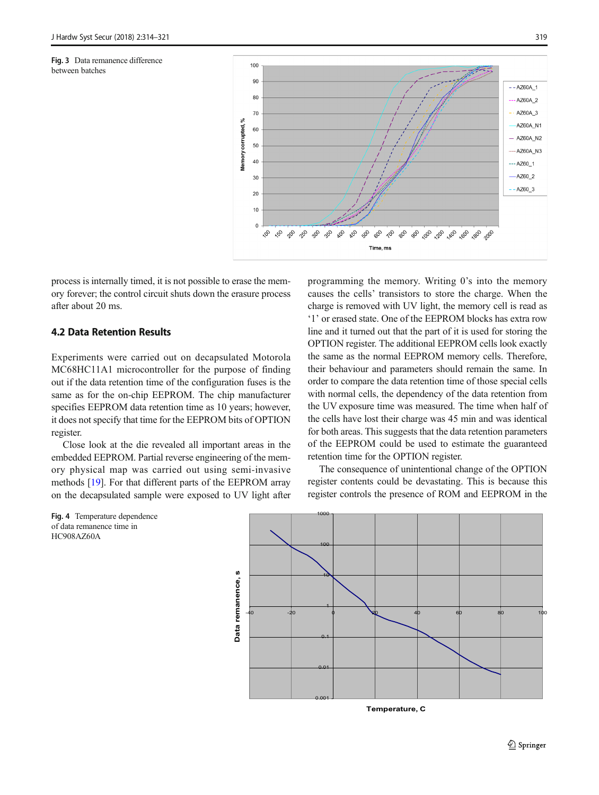<span id="page-5-0"></span>Fig. 3 Data remanence difference between batches



process is internally timed, it is not possible to erase the memory forever; the control circuit shuts down the erasure process after about 20 ms.

## 4.2 Data Retention Results

Fig. 4 Temperature dependence of data remanence time in

HC908AZ60A

Experiments were carried out on decapsulated Motorola MC68HC11A1 microcontroller for the purpose of finding out if the data retention time of the configuration fuses is the same as for the on-chip EEPROM. The chip manufacturer specifies EEPROM data retention time as 10 years; however, it does not specify that time for the EEPROM bits of OPTION register.

Close look at the die revealed all important areas in the embedded EEPROM. Partial reverse engineering of the memory physical map was carried out using semi-invasive methods [\[19\]](#page-7-0). For that different parts of the EEPROM array on the decapsulated sample were exposed to UV light after programming the memory. Writing 0's into the memory causes the cells' transistors to store the charge. When the charge is removed with UV light, the memory cell is read as '1' or erased state. One of the EEPROM blocks has extra row line and it turned out that the part of it is used for storing the OPTION register. The additional EEPROM cells look exactly the same as the normal EEPROM memory cells. Therefore, their behaviour and parameters should remain the same. In order to compare the data retention time of those special cells with normal cells, the dependency of the data retention from the UV exposure time was measured. The time when half of the cells have lost their charge was 45 min and was identical for both areas. This suggests that the data retention parameters of the EEPROM could be used to estimate the guaranteed retention time for the OPTION register.

The consequence of unintentional change of the OPTION register contents could be devastating. This is because this register controls the presence of ROM and EEPROM in the

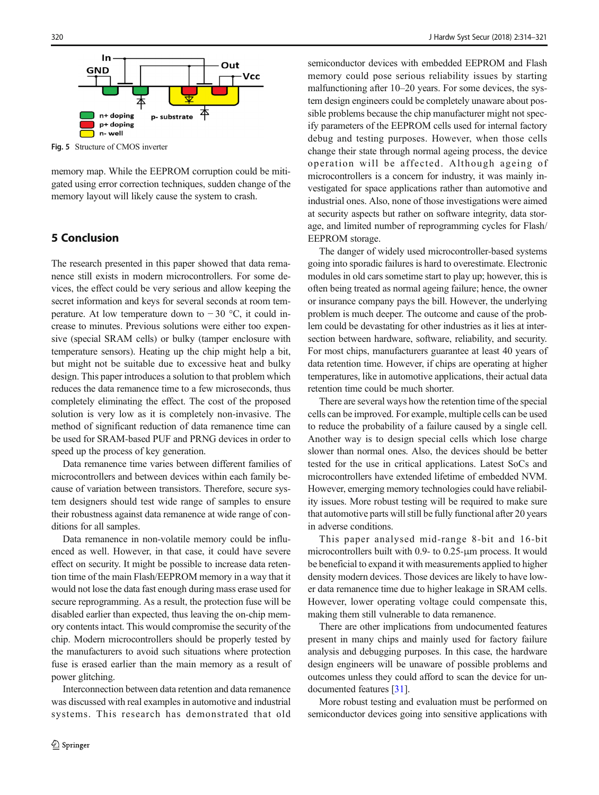<span id="page-6-0"></span>

Fig. 5 Structure of CMOS inverter

memory map. While the EEPROM corruption could be mitigated using error correction techniques, sudden change of the memory layout will likely cause the system to crash.

# 5 Conclusion

The research presented in this paper showed that data remanence still exists in modern microcontrollers. For some devices, the effect could be very serious and allow keeping the secret information and keys for several seconds at room temperature. At low temperature down to  $-30$  °C, it could increase to minutes. Previous solutions were either too expensive (special SRAM cells) or bulky (tamper enclosure with temperature sensors). Heating up the chip might help a bit, but might not be suitable due to excessive heat and bulky design. This paper introduces a solution to that problem which reduces the data remanence time to a few microseconds, thus completely eliminating the effect. The cost of the proposed solution is very low as it is completely non-invasive. The method of significant reduction of data remanence time can be used for SRAM-based PUF and PRNG devices in order to speed up the process of key generation.

Data remanence time varies between different families of microcontrollers and between devices within each family because of variation between transistors. Therefore, secure system designers should test wide range of samples to ensure their robustness against data remanence at wide range of conditions for all samples.

Data remanence in non-volatile memory could be influenced as well. However, in that case, it could have severe effect on security. It might be possible to increase data retention time of the main Flash/EEPROM memory in a way that it would not lose the data fast enough during mass erase used for secure reprogramming. As a result, the protection fuse will be disabled earlier than expected, thus leaving the on-chip memory contents intact. This would compromise the security of the chip. Modern microcontrollers should be properly tested by the manufacturers to avoid such situations where protection fuse is erased earlier than the main memory as a result of power glitching.

Interconnection between data retention and data remanence was discussed with real examples in automotive and industrial systems. This research has demonstrated that old

semiconductor devices with embedded EEPROM and Flash memory could pose serious reliability issues by starting malfunctioning after 10–20 years. For some devices, the system design engineers could be completely unaware about possible problems because the chip manufacturer might not specify parameters of the EEPROM cells used for internal factory debug and testing purposes. However, when those cells change their state through normal ageing process, the device operation will be affected. Although ageing of microcontrollers is a concern for industry, it was mainly investigated for space applications rather than automotive and industrial ones. Also, none of those investigations were aimed at security aspects but rather on software integrity, data storage, and limited number of reprogramming cycles for Flash/ EEPROM storage.

The danger of widely used microcontroller-based systems going into sporadic failures is hard to overestimate. Electronic modules in old cars sometime start to play up; however, this is often being treated as normal ageing failure; hence, the owner or insurance company pays the bill. However, the underlying problem is much deeper. The outcome and cause of the problem could be devastating for other industries as it lies at intersection between hardware, software, reliability, and security. For most chips, manufacturers guarantee at least 40 years of data retention time. However, if chips are operating at higher temperatures, like in automotive applications, their actual data retention time could be much shorter.

There are several ways how the retention time of the special cells can be improved. For example, multiple cells can be used to reduce the probability of a failure caused by a single cell. Another way is to design special cells which lose charge slower than normal ones. Also, the devices should be better tested for the use in critical applications. Latest SoCs and microcontrollers have extended lifetime of embedded NVM. However, emerging memory technologies could have reliability issues. More robust testing will be required to make sure that automotive parts will still be fully functional after 20 years in adverse conditions.

This paper analysed mid-range 8-bit and 16-bit microcontrollers built with 0.9- to 0.25-μm process. It would be beneficial to expand it with measurements applied to higher density modern devices. Those devices are likely to have lower data remanence time due to higher leakage in SRAM cells. However, lower operating voltage could compensate this, making them still vulnerable to data remanence.

There are other implications from undocumented features present in many chips and mainly used for factory failure analysis and debugging purposes. In this case, the hardware design engineers will be unaware of possible problems and outcomes unless they could afford to scan the device for undocumented features [\[31](#page-7-0)].

More robust testing and evaluation must be performed on semiconductor devices going into sensitive applications with